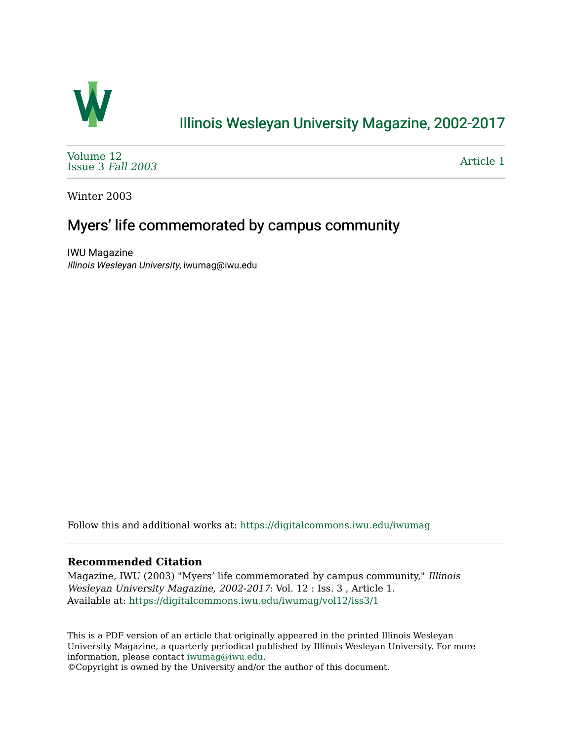

## [Illinois Wesleyan University Magazine, 2002-2017](https://digitalcommons.iwu.edu/iwumag)

[Volume 12](https://digitalcommons.iwu.edu/iwumag/vol12)  [Issue 3](https://digitalcommons.iwu.edu/iwumag/vol12/iss3) Fall 2003

[Article 1](https://digitalcommons.iwu.edu/iwumag/vol12/iss3/1) 

Winter 2003

## Myers' life commemorated by campus community

IWU Magazine Illinois Wesleyan University, iwumag@iwu.edu

Follow this and additional works at: [https://digitalcommons.iwu.edu/iwumag](https://digitalcommons.iwu.edu/iwumag?utm_source=digitalcommons.iwu.edu%2Fiwumag%2Fvol12%2Fiss3%2F1&utm_medium=PDF&utm_campaign=PDFCoverPages) 

## **Recommended Citation**

Magazine, IWU (2003) "Myers' life commemorated by campus community," Illinois Wesleyan University Magazine, 2002-2017: Vol. 12 : Iss. 3 , Article 1. Available at: [https://digitalcommons.iwu.edu/iwumag/vol12/iss3/1](https://digitalcommons.iwu.edu/iwumag/vol12/iss3/1?utm_source=digitalcommons.iwu.edu%2Fiwumag%2Fvol12%2Fiss3%2F1&utm_medium=PDF&utm_campaign=PDFCoverPages)

This is a PDF version of an article that originally appeared in the printed Illinois Wesleyan University Magazine, a quarterly periodical published by Illinois Wesleyan University. For more information, please contact [iwumag@iwu.edu](mailto:iwumag@iwu.edu).

©Copyright is owned by the University and/or the author of this document.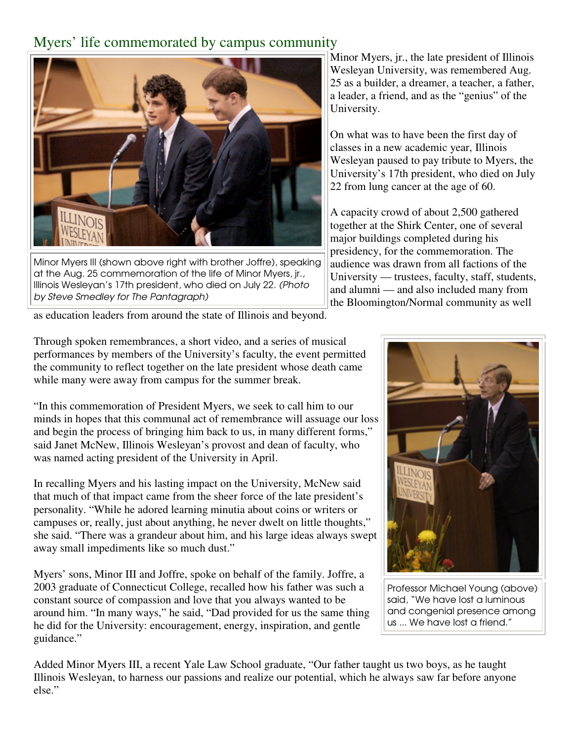## Myers' life commemorated by campus community



Minor Myers III (shown above right with brother Joffre), speaking at the Aug. 25 commemoration of the life of Minor Myers, jr., Illinois Wesleyan's 17th president, who died on July 22. (Photo by Steve Smedley for The Pantagraph)

as education leaders from around the state of Illinois and beyond.

Minor Myers, jr., the late president of Illinois Wesleyan University, was remembered Aug. 25 as a builder, a dreamer, a teacher, a father, a leader, a friend, and as the "genius" of the University.

On what was to have been the first day of classes in a new academic year, Illinois Wesleyan paused to pay tribute to Myers, the University's 17th president, who died on July 22 from lung cancer at the age of 60.

A capacity crowd of about 2,500 gathered together at the Shirk Center, one of several major buildings completed during his presidency, for the commemoration. The audience was drawn from all factions of the University — trustees, faculty, staff, students, and alumni — and also included many from the Bloomington/Normal community as well

Through spoken remembrances, a short video, and a series of musical performances by members of the University's faculty, the event permitted the community to reflect together on the late president whose death came while many were away from campus for the summer break.

"In this commemoration of President Myers, we seek to call him to our minds in hopes that this communal act of remembrance will assuage our loss and begin the process of bringing him back to us, in many different forms," said Janet McNew, Illinois Wesleyan's provost and dean of faculty, who was named acting president of the University in April.

In recalling Myers and his lasting impact on the University, McNew said that much of that impact came from the sheer force of the late president's personality. "While he adored learning minutia about coins or writers or campuses or, really, just about anything, he never dwelt on little thoughts," she said. "There was a grandeur about him, and his large ideas always swept away small impediments like so much dust."

Myers' sons, Minor III and Joffre, spoke on behalf of the family. Joffre, a 2003 graduate of Connecticut College, recalled how his father was such a constant source of compassion and love that you always wanted to be around him. "In many ways," he said, "Dad provided for us the same thing he did for the University: encouragement, energy, inspiration, and gentle guidance."



Professor Michael Young (above) said, "We have lost a luminous and congenial presence among us ... We have lost a friend."

Added Minor Myers III, a recent Yale Law School graduate, "Our father taught us two boys, as he taught Illinois Wesleyan, to harness our passions and realize our potential, which he always saw far before anyone else."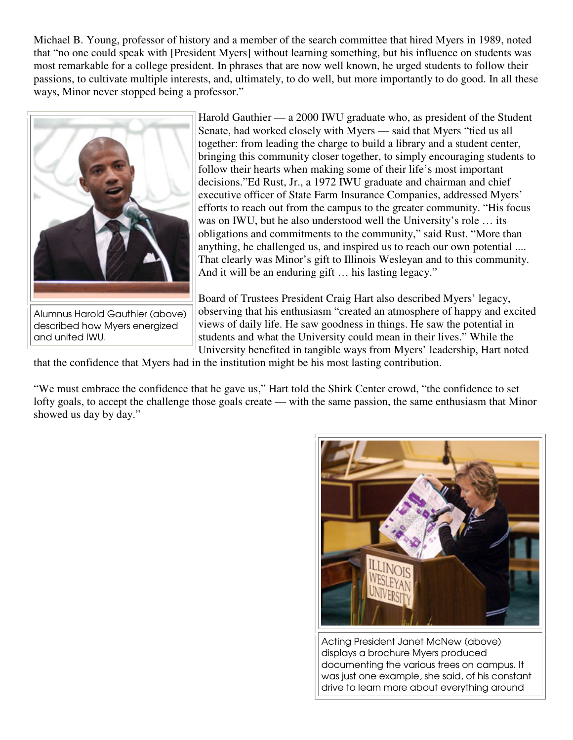Michael B. Young, professor of history and a member of the search committee that hired Myers in 1989, noted that "no one could speak with [President Myers] without learning something, but his influence on students was most remarkable for a college president. In phrases that are now well known, he urged students to follow their passions, to cultivate multiple interests, and, ultimately, to do well, but more importantly to do good. In all these ways, Minor never stopped being a professor."



Alumnus Harold Gauthier (above) described how Myers energized and united IWU.

Harold Gauthier — a 2000 IWU graduate who, as president of the Student Senate, had worked closely with Myers — said that Myers "tied us all together: from leading the charge to build a library and a student center, bringing this community closer together, to simply encouraging students to follow their hearts when making some of their life's most important decisions."Ed Rust, Jr., a 1972 IWU graduate and chairman and chief executive officer of State Farm Insurance Companies, addressed Myers' efforts to reach out from the campus to the greater community. "His focus was on IWU, but he also understood well the University's role … its obligations and commitments to the community," said Rust. "More than anything, he challenged us, and inspired us to reach our own potential .... That clearly was Minor's gift to Illinois Wesleyan and to this community. And it will be an enduring gift … his lasting legacy."

Board of Trustees President Craig Hart also described Myers' legacy, observing that his enthusiasm "created an atmosphere of happy and excited views of daily life. He saw goodness in things. He saw the potential in students and what the University could mean in their lives." While the University benefited in tangible ways from Myers' leadership, Hart noted

that the confidence that Myers had in the institution might be his most lasting contribution.

"We must embrace the confidence that he gave us," Hart told the Shirk Center crowd, "the confidence to set lofty goals, to accept the challenge those goals create — with the same passion, the same enthusiasm that Minor showed us day by day."



Acting President Janet McNew (above) displays a brochure Myers produced documenting the various trees on campus. It was just one example, she said, of his constant drive to learn more about everything around